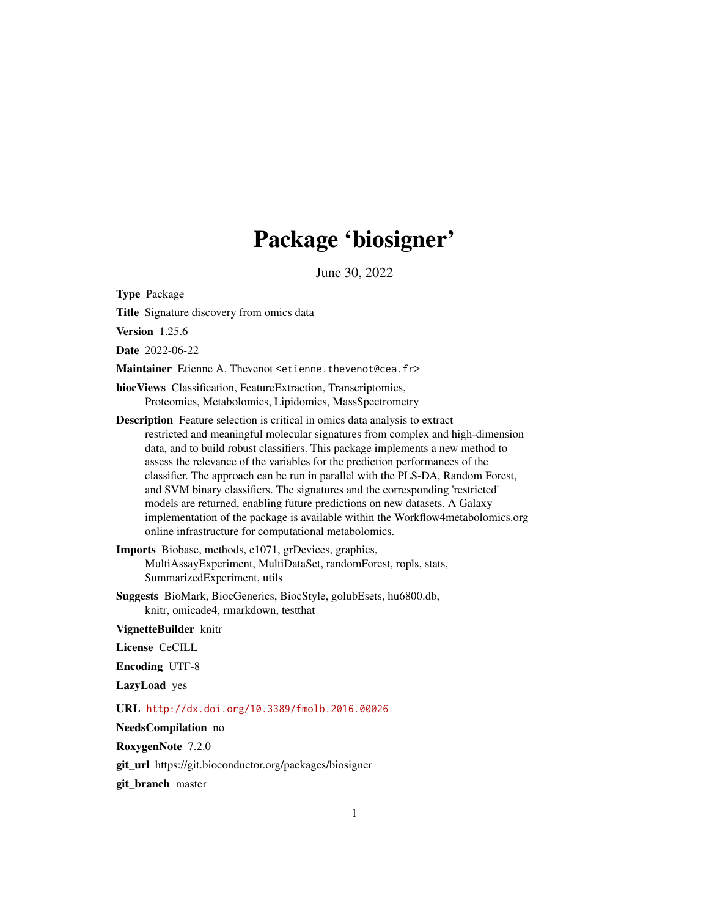# Package 'biosigner'

June 30, 2022

Type Package

Title Signature discovery from omics data

Version 1.25.6

Date 2022-06-22

Maintainer Etienne A. Thevenot <etienne.thevenot@cea.fr>

biocViews Classification, FeatureExtraction, Transcriptomics, Proteomics, Metabolomics, Lipidomics, MassSpectrometry

Description Feature selection is critical in omics data analysis to extract restricted and meaningful molecular signatures from complex and high-dimension data, and to build robust classifiers. This package implements a new method to assess the relevance of the variables for the prediction performances of the classifier. The approach can be run in parallel with the PLS-DA, Random Forest, and SVM binary classifiers. The signatures and the corresponding 'restricted' models are returned, enabling future predictions on new datasets. A Galaxy implementation of the package is available within the Workflow4metabolomics.org online infrastructure for computational metabolomics.

Imports Biobase, methods, e1071, grDevices, graphics, MultiAssayExperiment, MultiDataSet, randomForest, ropls, stats, SummarizedExperiment, utils

Suggests BioMark, BiocGenerics, BiocStyle, golubEsets, hu6800.db, knitr, omicade4, rmarkdown, testthat

VignetteBuilder knitr

License CeCILL

Encoding UTF-8

LazyLoad yes

URL <http://dx.doi.org/10.3389/fmolb.2016.00026>

NeedsCompilation no

RoxygenNote 7.2.0

git\_url https://git.bioconductor.org/packages/biosigner

git\_branch master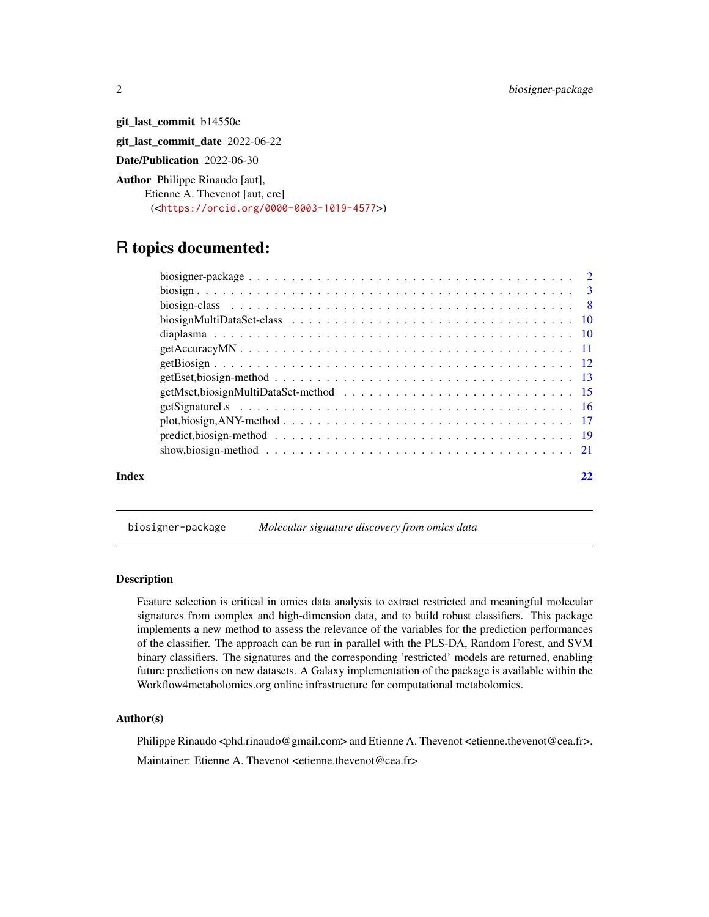<span id="page-1-0"></span>git\_last\_commit b14550c git\_last\_commit\_date 2022-06-22 Date/Publication 2022-06-30 Author Philippe Rinaudo [aut], Etienne A. Thevenot [aut, cre]

(<<https://orcid.org/0000-0003-1019-4577>>)

# R topics documented:

|       | plot,biosign, ANY-method $\ldots \ldots \ldots \ldots \ldots \ldots \ldots \ldots \ldots \ldots \ldots \ldots \ldots 17$ |  |
|-------|--------------------------------------------------------------------------------------------------------------------------|--|
|       | predict, biosign-method $\ldots \ldots \ldots \ldots \ldots \ldots \ldots \ldots \ldots \ldots \ldots \ldots$            |  |
|       |                                                                                                                          |  |
| Index |                                                                                                                          |  |

biosigner-package *Molecular signature discovery from omics data*

# Description

Feature selection is critical in omics data analysis to extract restricted and meaningful molecular signatures from complex and high-dimension data, and to build robust classifiers. This package implements a new method to assess the relevance of the variables for the prediction performances of the classifier. The approach can be run in parallel with the PLS-DA, Random Forest, and SVM binary classifiers. The signatures and the corresponding 'restricted' models are returned, enabling future predictions on new datasets. A Galaxy implementation of the package is available within the Workflow4metabolomics.org online infrastructure for computational metabolomics.

# Author(s)

Philippe Rinaudo <phd.rinaudo@gmail.com> and Etienne A. Thevenot <etienne.thevenot@cea.fr>.

Maintainer: Etienne A. Thevenot <etienne.thevenot@cea.fr>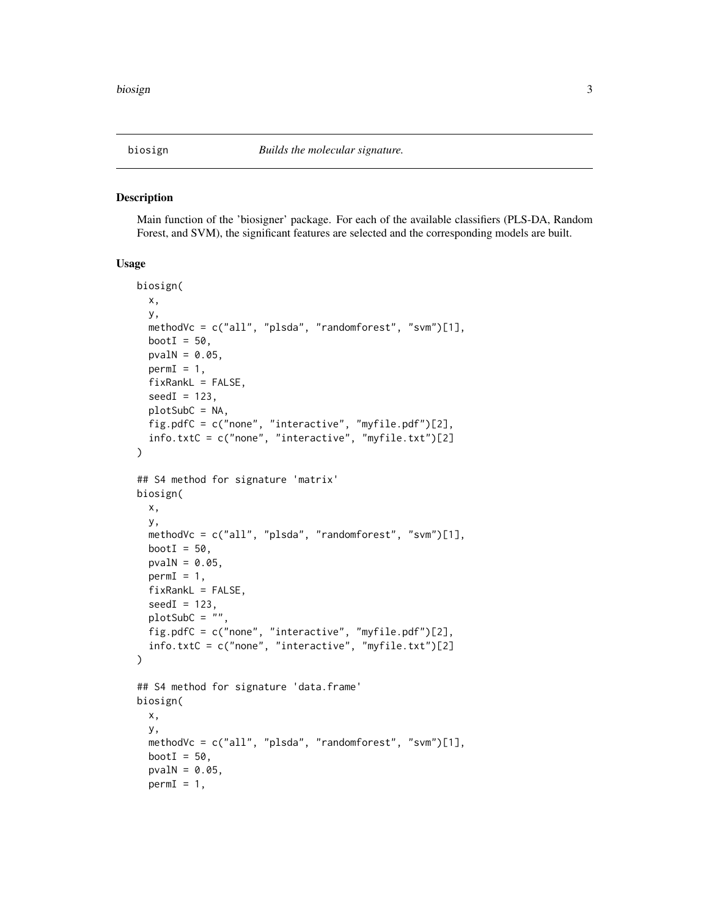<span id="page-2-1"></span><span id="page-2-0"></span>

#### Description

Main function of the 'biosigner' package. For each of the available classifiers (PLS-DA, Random Forest, and SVM), the significant features are selected and the corresponding models are built.

#### Usage

```
biosign(
  x,
 y,
  methodVc = c("all", "plsda", "randomforest", "svm")[1],
 bootI = 50,
  pvalN = 0.05,
  permI = 1,
  fixRankL = FALSE,
  seedI = 123,
  plotSubC = NA,
  fig.pdfC = c("none", "interactive", "myfile.pdf")[2],
  info.txtC = c("none", "interactive", "myfile.txt")[2]
)
## S4 method for signature 'matrix'
biosign(
  x,
 y,
  methodVc = c("all", "plsda", "randomforest", "svm")[1],
 bootI = 50,
  pvalN = 0.05,
  permI = 1,
  fixRankL = FALSE,
  seedI = 123,
  plotsubC = ""fig.pdfC = c("none", "interactive", "myfile.pdf")[2],
  info.txtC = c("none", "interactive", "myfile.txt")[2]
)
## S4 method for signature 'data.frame'
biosign(
  x,
  y,
  methodVc = c("all", "plsda", "randomforest", "svm")[1],
 bootI = 50,
  pvalN = 0.05,
  permI = 1,
```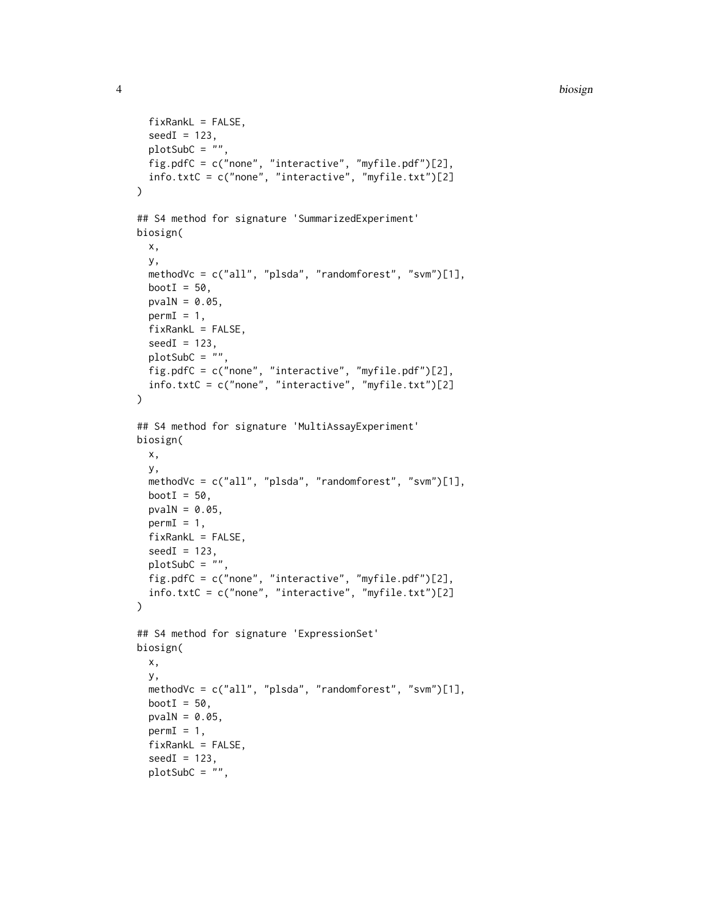#### 4 biosign

```
fixRankL = FALSE,
  seedI = 123,
 plotsubC = "",
 fig.pdfC = c("none", "interactive", "myfile.pdf")[2],
 info.txtC = c("none", "interactive", "myfile.txt")[2]
\lambda## S4 method for signature 'SummarizedExperiment'
biosign(
 x,
 y,
 methodVc = c("all", "plsda", "randomforest", "svm")[1],
 bootI = 50,
 pvalN = 0.05,
 permI = 1,
  fixRankL = FALSE,seedI = 123,
 plotsubC = " "fig.pdfC = c("none", "interactive", "myfile.pdf")[2],
  info.txtC = c("none", "interactive", "myfile.txt")[2]
)
## S4 method for signature 'MultiAssayExperiment'
biosign(
 x,
 y,
 methodVc = c("all", "plsda", "randomforest", "svm")[1],
 bootI = 50,
 pvalN = 0.05,
 permI = 1,
  fixRankL = FALSE,seedI = 123,
 plotsubC = "",
 fig.pdfC = c("none", "interactive", "myfile.pdf")[2],
  info.txtC = c("none", "interactive", "myfile.txt")[2]
)
## S4 method for signature 'ExpressionSet'
biosign(
 x,
 y,
 methodVc = c("all", "plsda", "randomforest", "svm")[1],
 bootI = 50,
 pvalN = 0.05,
 permI = 1,
  fixRankL = FALSE,
  seedI = 123,
  plotSubC = "",
```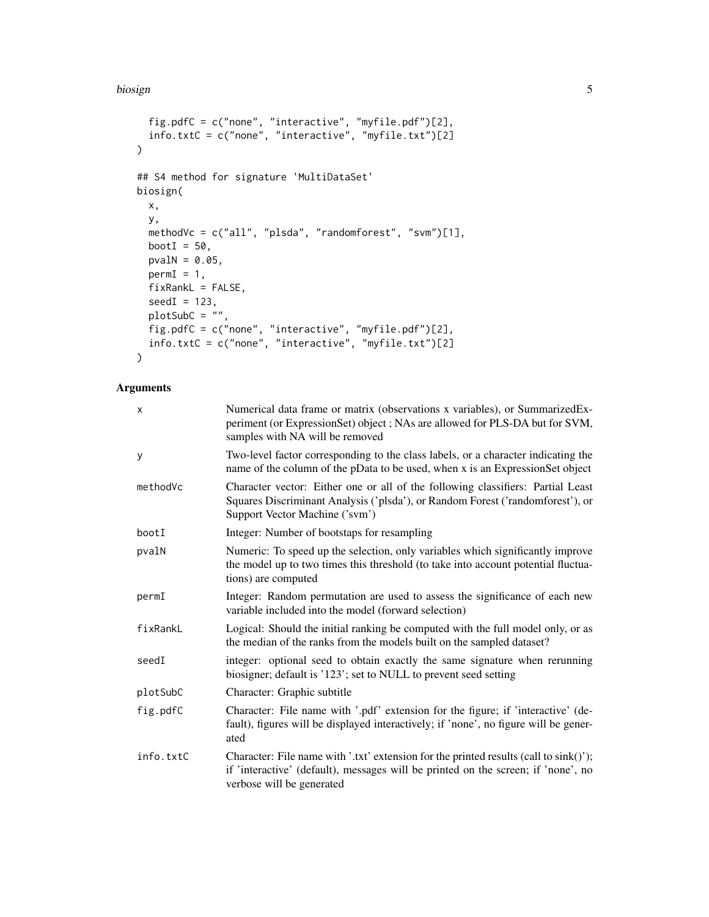#### biosign 5 to 1999 to 1999 to 1999 to 1999 to 1999 to 1999 to 1999 to 1999 to 1999 to 1999 to 1999 to 1999 to 1

```
fig.pdfC = c("none", "interactive", "myfile.pdf")[2],
  info.txtC = c("none", "interactive", "myfile.txt")[2]
\sum_{i=1}^{n}## S4 method for signature 'MultiDataSet'
biosign(
 x,
 y,
 methodVc = c("all", "plsda", "randomforest", "svm")[1],
 bootI = 50,
 pvalN = 0.05,
 permI = 1,
 fixRankL = FALSE,
 seedI = 123,plotSubC = "",
  fig.pdfC = c("none", "interactive", "myfile.pdf")[2],
  info.txtC = c("none", "interactive", "myfile.txt")[2]
\mathcal{L}
```
# Arguments

| X         | Numerical data frame or matrix (observations x variables), or SummarizedEx-<br>periment (or ExpressionSet) object; NAs are allowed for PLS-DA but for SVM,<br>samples with NA will be removed           |
|-----------|---------------------------------------------------------------------------------------------------------------------------------------------------------------------------------------------------------|
| У         | Two-level factor corresponding to the class labels, or a character indicating the<br>name of the column of the pData to be used, when x is an ExpressionSet object                                      |
| methodVc  | Character vector: Either one or all of the following classifiers: Partial Least<br>Squares Discriminant Analysis ('plsda'), or Random Forest ('randomforest'), or<br>Support Vector Machine ('svm')     |
| bootI     | Integer: Number of bootstaps for resampling                                                                                                                                                             |
| pvalN     | Numeric: To speed up the selection, only variables which significantly improve<br>the model up to two times this threshold (to take into account potential fluctua-<br>tions) are computed              |
| permI     | Integer: Random permutation are used to assess the significance of each new<br>variable included into the model (forward selection)                                                                     |
| fixRankL  | Logical: Should the initial ranking be computed with the full model only, or as<br>the median of the ranks from the models built on the sampled dataset?                                                |
| seedI     | integer: optional seed to obtain exactly the same signature when rerunning<br>biosigner; default is '123'; set to NULL to prevent seed setting                                                          |
| plotSubC  | Character: Graphic subtitle                                                                                                                                                                             |
| fig.pdfC  | Character: File name with '.pdf' extension for the figure; if 'interactive' (de-<br>fault), figures will be displayed interactively; if 'none', no figure will be gener-<br>ated                        |
| info.txtC | Character: File name with '.txt' extension for the printed results (call to sink()');<br>if 'interactive' (default), messages will be printed on the screen; if 'none', no<br>verbose will be generated |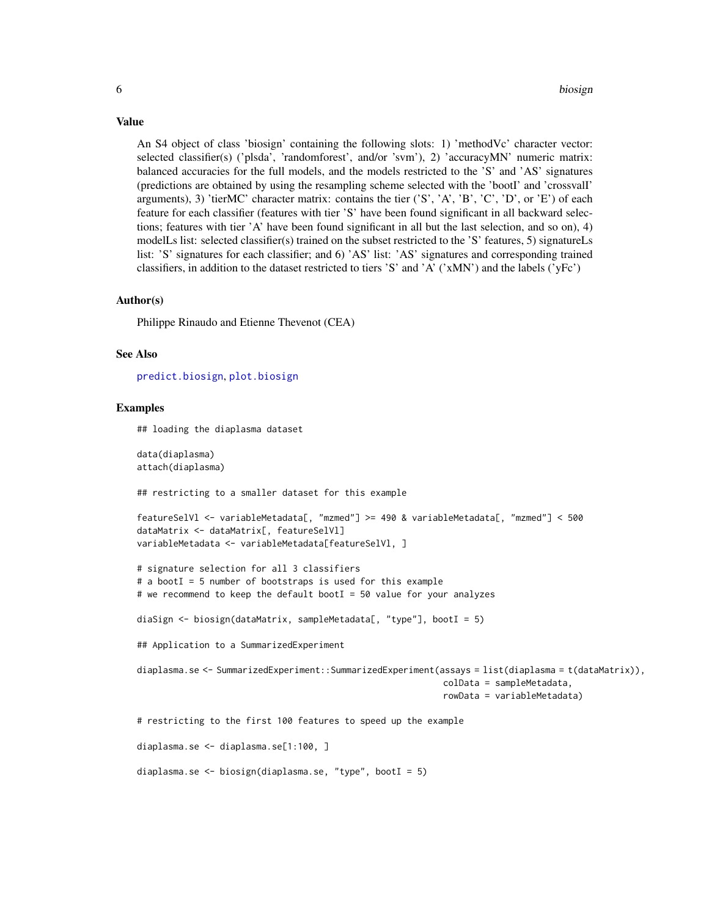An S4 object of class 'biosign' containing the following slots: 1) 'methodVc' character vector: selected classifier(s) ('plsda', 'randomforest', and/or 'svm'), 2) 'accuracyMN' numeric matrix: balanced accuracies for the full models, and the models restricted to the 'S' and 'AS' signatures (predictions are obtained by using the resampling scheme selected with the 'bootI' and 'crossvalI' arguments), 3) 'tierMC' character matrix: contains the tier  $('S', 'A', 'B', 'C', 'D', or 'E')$  of each feature for each classifier (features with tier 'S' have been found significant in all backward selections; features with tier 'A' have been found significant in all but the last selection, and so on), 4) modelLs list: selected classifier(s) trained on the subset restricted to the 'S' features, 5) signatureLs list: 'S' signatures for each classifier; and 6) 'AS' list: 'AS' signatures and corresponding trained classifiers, in addition to the dataset restricted to tiers 'S' and 'A' ('xMN') and the labels ('yFc')

#### Author(s)

Philippe Rinaudo and Etienne Thevenot (CEA)

#### See Also

[predict.biosign](#page-18-1), [plot.biosign](#page-16-1)

#### Examples

## loading the diaplasma dataset

data(diaplasma) attach(diaplasma)

## restricting to a smaller dataset for this example

```
featureSelVl <- variableMetadata[, "mzmed"] >= 490 & variableMetadata[, "mzmed"] < 500
dataMatrix <- dataMatrix[, featureSelVl]
variableMetadata <- variableMetadata[featureSelVl, ]
```

```
# signature selection for all 3 classifiers
# a bootI = 5 number of bootstraps is used for this example
# we recommend to keep the default bootI = 50 value for your analyzes
```

```
diaSign <- biosign(dataMatrix, sampleMetadata[, "type"], bootI = 5)
```
## Application to a SummarizedExperiment

```
diaplasma.se <- SummarizedExperiment::SummarizedExperiment(assays = list(diaplasma = t(dataMatrix)),
                                                            colData = sampleMetadata,
                                                            rowData = variableMetadata)
```
# restricting to the first 100 features to speed up the example

diaplasma.se <- diaplasma.se[1:100, ]

```
diaplasma.se <- biosign(diaplasma.se, "type", bootI = 5)
```
# <span id="page-5-0"></span>Value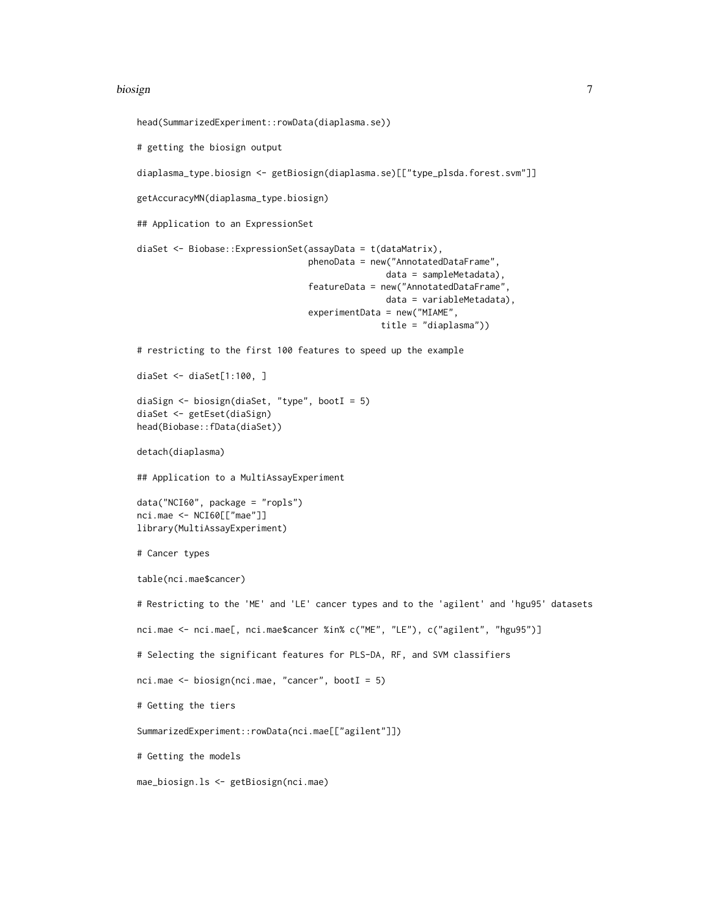#### biosign **7** and 2011 11:00 the contract of the contract of the contract of the contract of the contract of the contract of the contract of the contract of the contract of the contract of the contract of the contract of the

```
head(SummarizedExperiment::rowData(diaplasma.se))
# getting the biosign output
diaplasma_type.biosign <- getBiosign(diaplasma.se)[["type_plsda.forest.svm"]]
getAccuracyMN(diaplasma_type.biosign)
## Application to an ExpressionSet
diaSet <- Biobase::ExpressionSet(assayData = t(dataMatrix),
                                 phenoData = new("AnnotatedDataFrame",
                                                data = sampleMetadata),
                                 featureData = new("AnnotatedDataFrame",
                                                data = variableMetadata),
                                 experimentData = new("MIAME",
                                               title = "diaplasma"))
# restricting to the first 100 features to speed up the example
diaSet <- diaSet[1:100, ]
diaSign <- biosign(diaSet, "type", bootI = 5)
diaSet <- getEset(diaSign)
head(Biobase::fData(diaSet))
detach(diaplasma)
## Application to a MultiAssayExperiment
data("NCI60", package = "ropls")
nci.mae <- NCI60[["mae"]]
library(MultiAssayExperiment)
# Cancer types
table(nci.mae$cancer)
# Restricting to the 'ME' and 'LE' cancer types and to the 'agilent' and 'hgu95' datasets
nci.mae <- nci.mae[, nci.mae$cancer %in% c("ME", "LE"), c("agilent", "hgu95")]
# Selecting the significant features for PLS-DA, RF, and SVM classifiers
nci.mae <- biosign(nci.mae, "cancer", bootI = 5)
# Getting the tiers
SummarizedExperiment::rowData(nci.mae[["agilent"]])
# Getting the models
mae_biosign.ls <- getBiosign(nci.mae)
```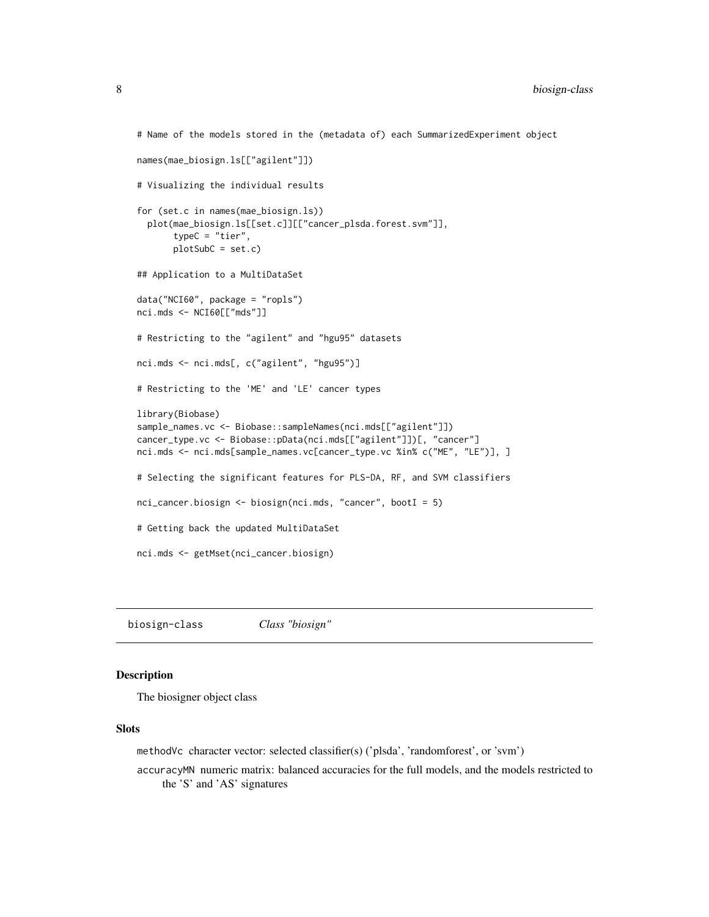```
# Name of the models stored in the (metadata of) each SummarizedExperiment object
names(mae_biosign.ls[["agilent"]])
# Visualizing the individual results
for (set.c in names(mae_biosign.ls))
 plot(mae_biosign.ls[[set.c]][["cancer_plsda.forest.svm"]],
      typeC = "tier",
      plotSubC = set.c)
## Application to a MultiDataSet
data("NCI60", package = "ropls")
nci.mds <- NCI60[["mds"]]
# Restricting to the "agilent" and "hgu95" datasets
nci.mds <- nci.mds[, c("agilent", "hgu95")]
# Restricting to the 'ME' and 'LE' cancer types
library(Biobase)
sample_names.vc <- Biobase::sampleNames(nci.mds[["agilent"]])
cancer_type.vc <- Biobase::pData(nci.mds[["agilent"]])[, "cancer"]
nci.mds <- nci.mds[sample_names.vc[cancer_type.vc %in% c("ME", "LE")], ]
# Selecting the significant features for PLS-DA, RF, and SVM classifiers
nci_cancer.biosign <- biosign(nci.mds, "cancer", bootI = 5)
# Getting back the updated MultiDataSet
nci.mds <- getMset(nci_cancer.biosign)
```
biosign-class *Class "biosign"*

#### Description

The biosigner object class

#### **Slots**

methodVc character vector: selected classifier(s) ('plsda', 'randomforest', or 'svm')

accuracyMN numeric matrix: balanced accuracies for the full models, and the models restricted to the 'S' and 'AS' signatures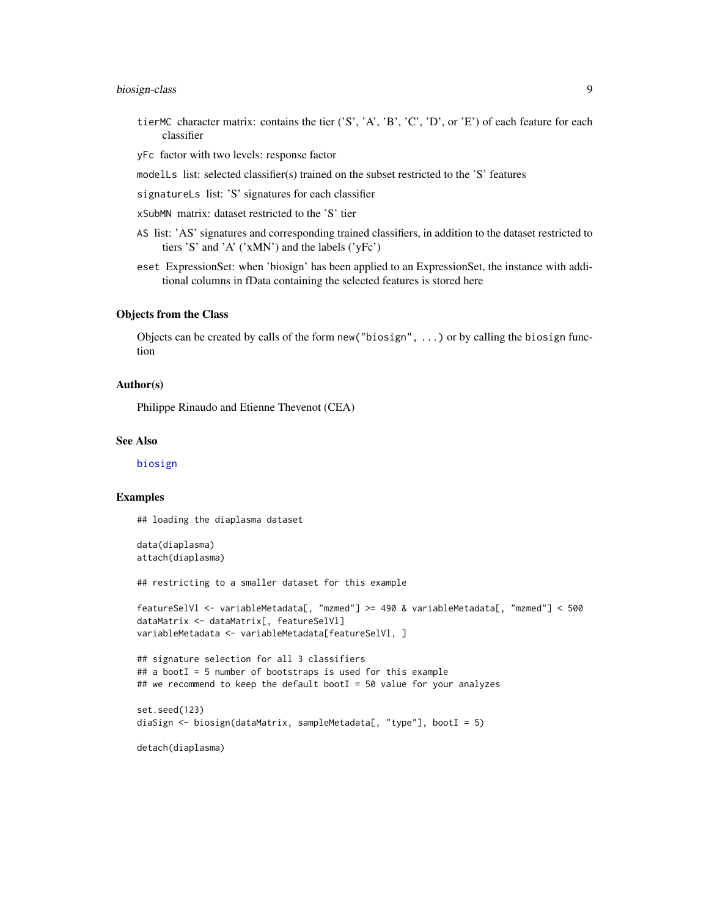# <span id="page-8-0"></span>biosign-class 9

- tierMC character matrix: contains the tier  $('S', 'A', 'B', 'C', 'D', or 'E')$  of each feature for each classifier
- yFc factor with two levels: response factor
- modelLs list: selected classifier(s) trained on the subset restricted to the 'S' features
- signatureLs list: 'S' signatures for each classifier
- xSubMN matrix: dataset restricted to the 'S' tier
- AS list: 'AS' signatures and corresponding trained classifiers, in addition to the dataset restricted to tiers 'S' and 'A' ('xMN') and the labels ('yFc')
- eset ExpressionSet: when 'biosign' has been applied to an ExpressionSet, the instance with additional columns in fData containing the selected features is stored here

# Objects from the Class

Objects can be created by calls of the form new("biosign", ...) or by calling the biosign function

#### Author(s)

Philippe Rinaudo and Etienne Thevenot (CEA)

#### See Also

[biosign](#page-2-1)

#### Examples

## loading the diaplasma dataset

```
data(diaplasma)
attach(diaplasma)
```
## restricting to a smaller dataset for this example

```
featureSelVl <- variableMetadata[, "mzmed"] >= 490 & variableMetadata[, "mzmed"] < 500
dataMatrix <- dataMatrix[, featureSelVl]
variableMetadata <- variableMetadata[featureSelVl, ]
```

```
## signature selection for all 3 classifiers
\# a bootI = 5 number of bootstraps is used for this example
## we recommend to keep the default bootI = 50 value for your analyzes
```

```
set.seed(123)
diaSign <- biosign(dataMatrix, sampleMetadata[, "type"], bootI = 5)
```
detach(diaplasma)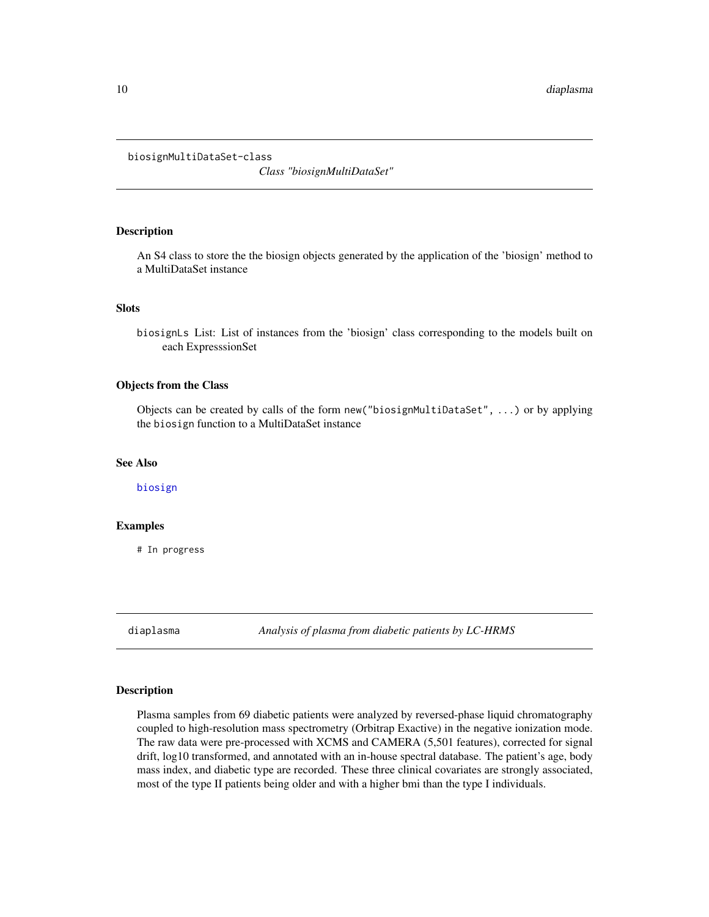<span id="page-9-0"></span>biosignMultiDataSet-class

*Class "biosignMultiDataSet"*

# Description

An S4 class to store the the biosign objects generated by the application of the 'biosign' method to a MultiDataSet instance

#### **Slots**

biosignLs List: List of instances from the 'biosign' class corresponding to the models built on each ExpresssionSet

#### Objects from the Class

Objects can be created by calls of the form new("biosignMultiDataSet", ...) or by applying the biosign function to a MultiDataSet instance

# See Also

[biosign](#page-2-1)

### Examples

# In progress

diaplasma *Analysis of plasma from diabetic patients by LC-HRMS*

#### Description

Plasma samples from 69 diabetic patients were analyzed by reversed-phase liquid chromatography coupled to high-resolution mass spectrometry (Orbitrap Exactive) in the negative ionization mode. The raw data were pre-processed with XCMS and CAMERA (5,501 features), corrected for signal drift, log10 transformed, and annotated with an in-house spectral database. The patient's age, body mass index, and diabetic type are recorded. These three clinical covariates are strongly associated, most of the type II patients being older and with a higher bmi than the type I individuals.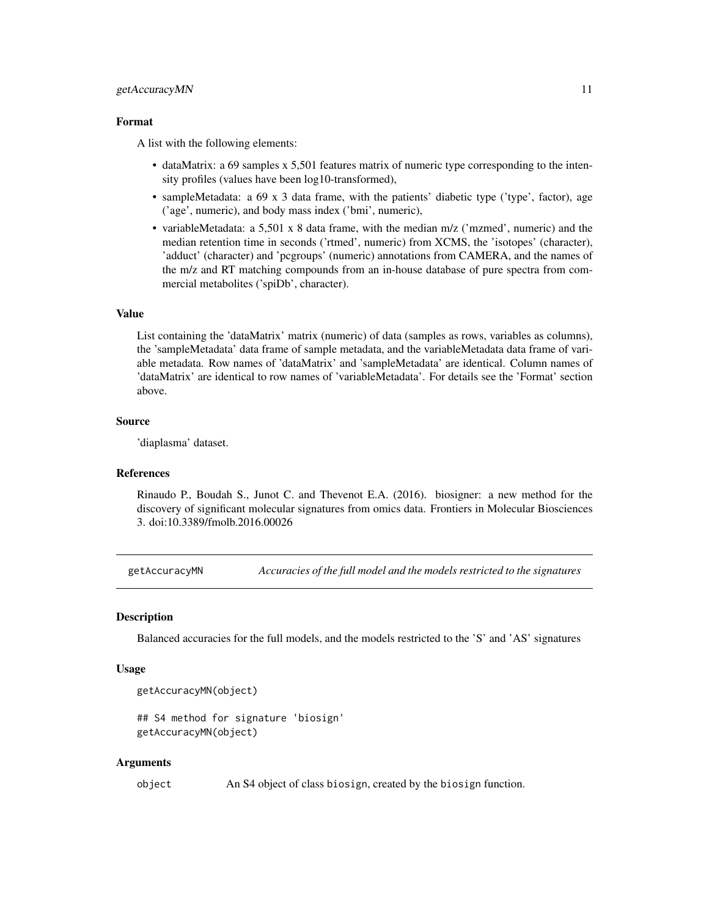#### <span id="page-10-0"></span>getAccuracyMN 11

#### Format

A list with the following elements:

- dataMatrix: a 69 samples x 5,501 features matrix of numeric type corresponding to the intensity profiles (values have been log10-transformed),
- sampleMetadata: a 69 x 3 data frame, with the patients' diabetic type ('type', factor), age ('age', numeric), and body mass index ('bmi', numeric),
- variableMetadata: a 5,501 x 8 data frame, with the median m/z ('mzmed', numeric) and the median retention time in seconds ('rtmed', numeric) from XCMS, the 'isotopes' (character), 'adduct' (character) and 'pcgroups' (numeric) annotations from CAMERA, and the names of the m/z and RT matching compounds from an in-house database of pure spectra from commercial metabolites ('spiDb', character).

#### Value

List containing the 'dataMatrix' matrix (numeric) of data (samples as rows, variables as columns), the 'sampleMetadata' data frame of sample metadata, and the variableMetadata data frame of variable metadata. Row names of 'dataMatrix' and 'sampleMetadata' are identical. Column names of 'dataMatrix' are identical to row names of 'variableMetadata'. For details see the 'Format' section above.

#### Source

'diaplasma' dataset.

#### References

Rinaudo P., Boudah S., Junot C. and Thevenot E.A. (2016). biosigner: a new method for the discovery of significant molecular signatures from omics data. Frontiers in Molecular Biosciences 3. doi:10.3389/fmolb.2016.00026

getAccuracyMN *Accuracies of the full model and the models restricted to the signatures*

#### Description

Balanced accuracies for the full models, and the models restricted to the 'S' and 'AS' signatures

#### Usage

```
getAccuracyMN(object)
```

```
## S4 method for signature 'biosign'
getAccuracyMN(object)
```
#### Arguments

object An S4 object of class biosign, created by the biosign function.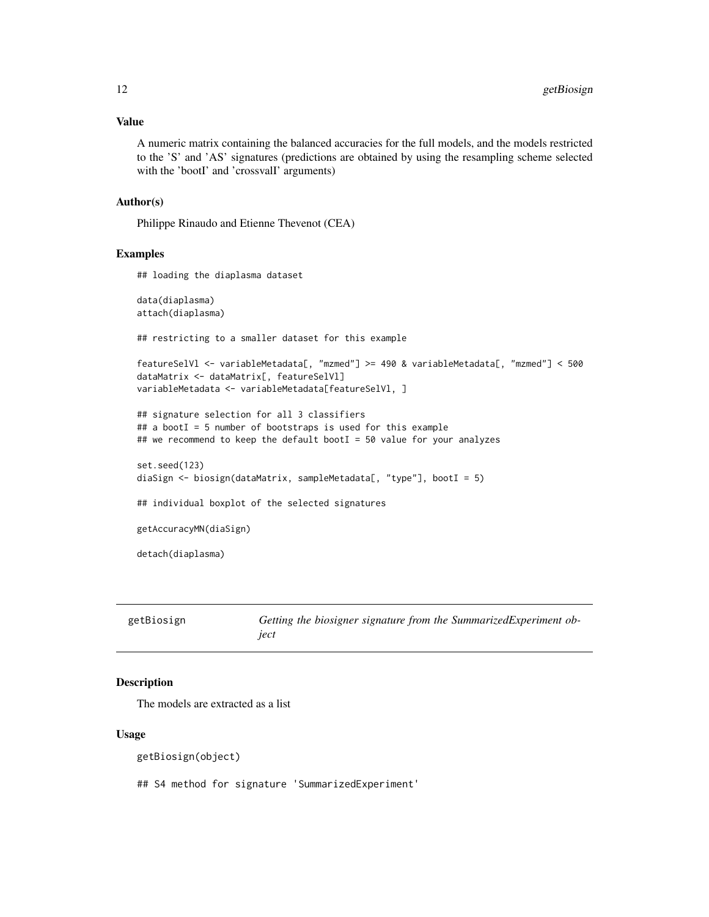# <span id="page-11-0"></span>Value

A numeric matrix containing the balanced accuracies for the full models, and the models restricted to the 'S' and 'AS' signatures (predictions are obtained by using the resampling scheme selected with the 'bootI' and 'crossvalI' arguments)

#### Author(s)

Philippe Rinaudo and Etienne Thevenot (CEA)

# Examples

```
## loading the diaplasma dataset
data(diaplasma)
attach(diaplasma)
## restricting to a smaller dataset for this example
featureSelVl <- variableMetadata[, "mzmed"] >= 490 & variableMetadata[, "mzmed"] < 500
dataMatrix <- dataMatrix[, featureSelVl]
variableMetadata <- variableMetadata[featureSelVl, ]
## signature selection for all 3 classifiers
## a bootI = 5 number of bootstraps is used for this example
## we recommend to keep the default bootI = 50 value for your analyzes
set.seed(123)
diaSign <- biosign(dataMatrix, sampleMetadata[, "type"], bootI = 5)
## individual boxplot of the selected signatures
getAccuracyMN(diaSign)
detach(diaplasma)
```

| getBiosign | Getting the biosigner signature from the SummarizedExperiment ob- |
|------------|-------------------------------------------------------------------|
|            | iect                                                              |

# Description

The models are extracted as a list

#### Usage

getBiosign(object)

## S4 method for signature 'SummarizedExperiment'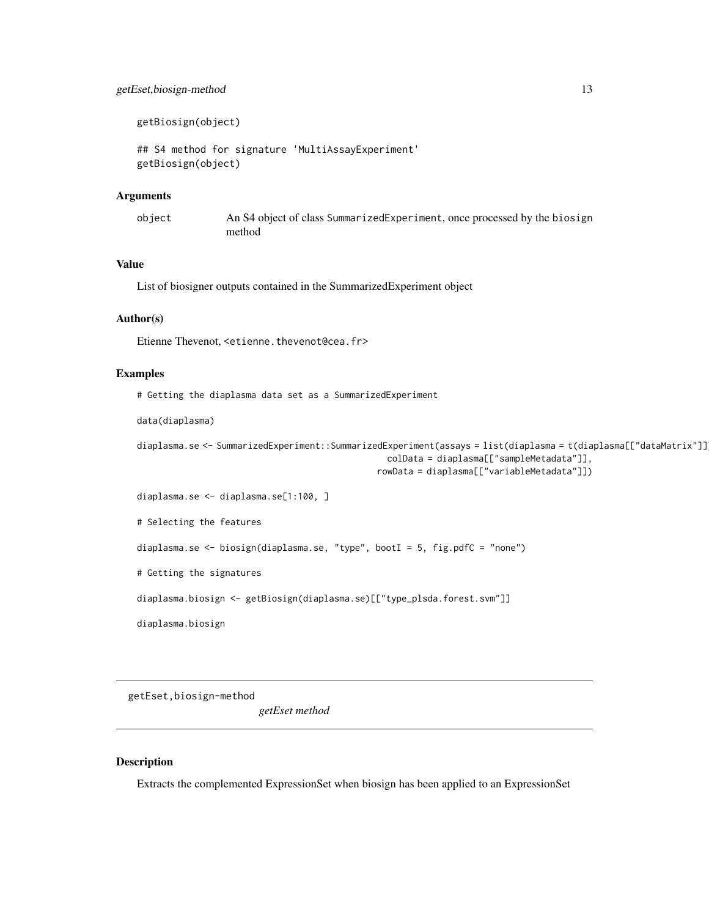# <span id="page-12-0"></span>getEset,biosign-method 13

getBiosign(object)

```
## S4 method for signature 'MultiAssayExperiment'
getBiosign(object)
```
#### Arguments

object An S4 object of class SummarizedExperiment, once processed by the biosign method

# Value

List of biosigner outputs contained in the SummarizedExperiment object

#### Author(s)

Etienne Thevenot, <etienne.thevenot@cea.fr>

#### Examples

# Getting the diaplasma data set as a SummarizedExperiment

```
data(diaplasma)
```

```
diaplasma.se <- SummarizedExperiment::SummarizedExperiment(assays = list(diaplasma = t(diaplasma[["dataMatrix"]])),
                                                  colData = diaplasma[["sampleMetadata"]],
```
rowData = diaplasma[["variableMetadata"]])

diaplasma.se <- diaplasma.se[1:100, ]

# Selecting the features

diaplasma.se <- biosign(diaplasma.se, "type", bootI = 5, fig.pdfC = "none")

# Getting the signatures

diaplasma.biosign <- getBiosign(diaplasma.se)[["type\_plsda.forest.svm"]]

diaplasma.biosign

getEset,biosign-method

*getEset method*

#### Description

Extracts the complemented ExpressionSet when biosign has been applied to an ExpressionSet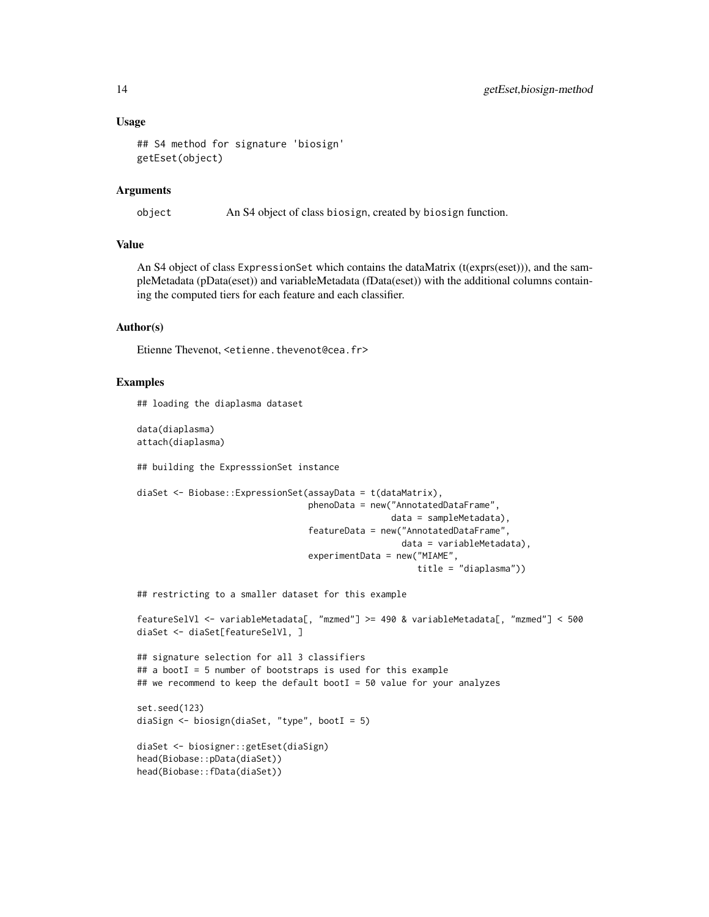#### Usage

```
## S4 method for signature 'biosign'
getEset(object)
```
# Arguments

object An S4 object of class biosign, created by biosign function.

#### Value

An S4 object of class ExpressionSet which contains the dataMatrix (t(exprs(eset))), and the sampleMetadata (pData(eset)) and variableMetadata (fData(eset)) with the additional columns containing the computed tiers for each feature and each classifier.

#### Author(s)

Etienne Thevenot, <etienne.thevenot@cea.fr>

#### Examples

## loading the diaplasma dataset

data(diaplasma) attach(diaplasma)

## building the ExpresssionSet instance

```
diaSet <- Biobase::ExpressionSet(assayData = t(dataMatrix),
                                 phenoData = new("AnnotatedDataFrame",
                                                 data = sampleMetadata),
                                 featureData = new("AnnotatedDataFrame",
                                                   data = variableMetadata),
                                 experimentData = new("MIAME",
                                                      title = "diaplasma"))
```
## restricting to a smaller dataset for this example

```
featureSelVl <- variableMetadata[, "mzmed"] >= 490 & variableMetadata[, "mzmed"] < 500
diaSet <- diaSet[featureSelVl, ]
```

```
## signature selection for all 3 classifiers
## a bootI = 5 number of bootstraps is used for this example
## we recommend to keep the default bootI = 50 value for your analyzes
```

```
set.seed(123)
diaSign <- biosign(diaSet, "type", bootI = 5)
```

```
diaSet <- biosigner::getEset(diaSign)
head(Biobase::pData(diaSet))
head(Biobase::fData(diaSet))
```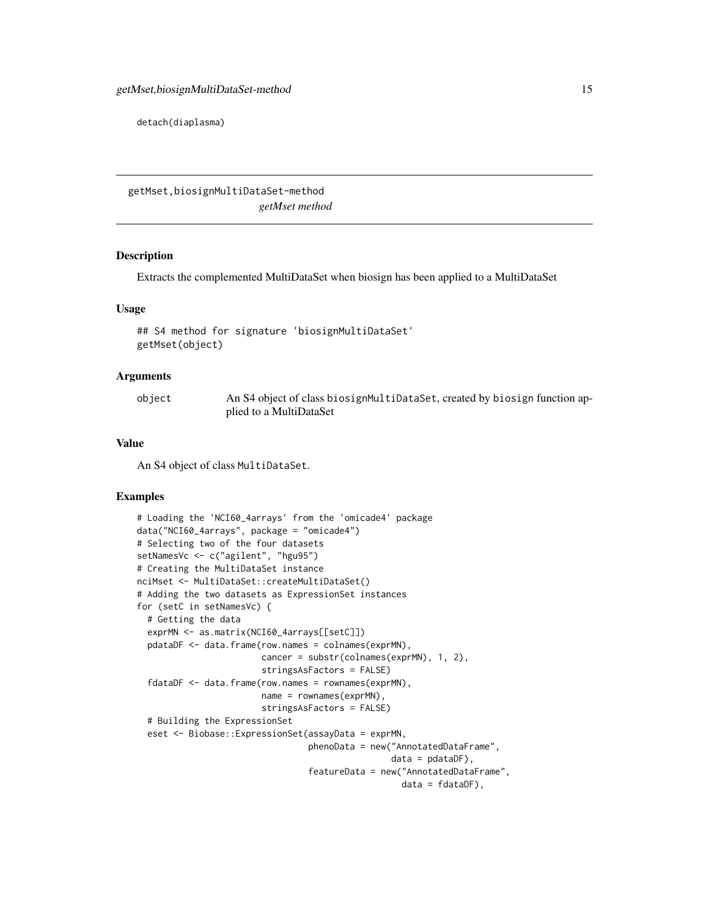<span id="page-14-0"></span>detach(diaplasma)

getMset,biosignMultiDataSet-method *getMset method*

#### Description

Extracts the complemented MultiDataSet when biosign has been applied to a MultiDataSet

#### Usage

```
## S4 method for signature 'biosignMultiDataSet'
getMset(object)
```
# Arguments

| object | An S4 object of class biosignMultiDataSet, created by biosign function ap- |
|--------|----------------------------------------------------------------------------|
|        | plied to a MultiDataSet                                                    |

#### Value

An S4 object of class MultiDataSet.

# Examples

```
# Loading the 'NCI60_4arrays' from the 'omicade4' package
data("NCI60_4arrays", package = "omicade4")
# Selecting two of the four datasets
setNamesVc <- c("agilent", "hgu95")
# Creating the MultiDataSet instance
nciMset <- MultiDataSet::createMultiDataSet()
# Adding the two datasets as ExpressionSet instances
for (setC in setNamesVc) {
 # Getting the data
 exprMN <- as.matrix(NCI60_4arrays[[setC]])
 pdataDF <- data.frame(row.names = colnames(exprMN),
                        cancer = substr(colnames(exprMN), 1, 2),
                        stringsAsFactors = FALSE)
 fdataDF <- data.frame(row.names = rownames(exprMN),
                        name = rownames(exprMN),
                        stringsAsFactors = FALSE)
 # Building the ExpressionSet
 eset <- Biobase::ExpressionSet(assayData = exprMN,
                                 phenoData = new("AnnotatedDataFrame",
                                                 data = pdataDF),
                                 featureData = new("AnnotatedDataFrame",
                                                   data = fdataDF),
```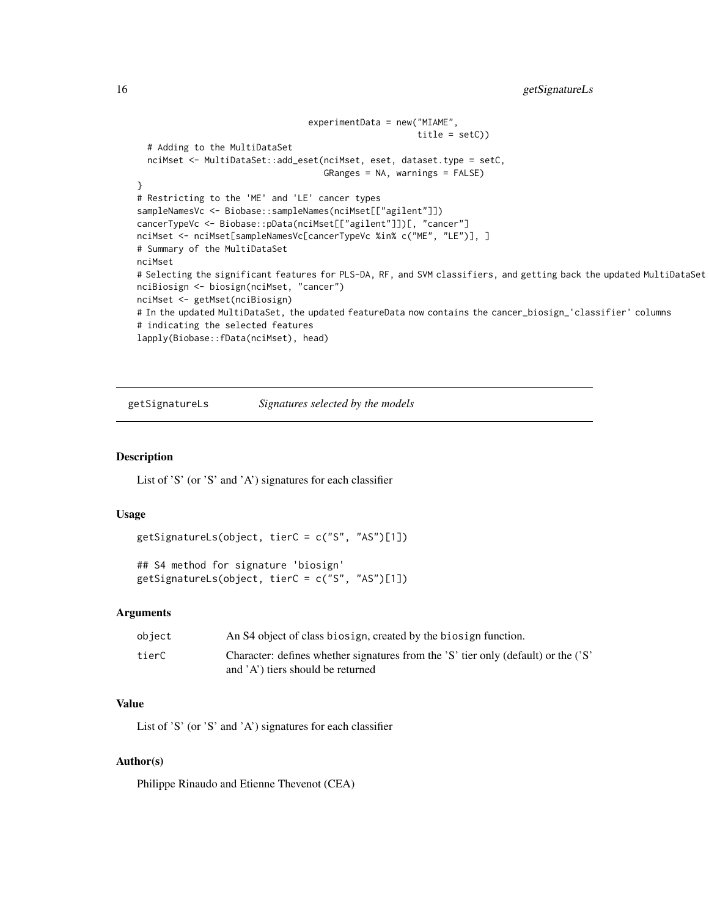```
16 getSignatureLs
```

```
experimentData = new("MIAME",
                                                       title = setC))
 # Adding to the MultiDataSet
 nciMset <- MultiDataSet::add_eset(nciMset, eset, dataset.type = setC,
                                    GRanges = NA, warnings = FALSE)
}
# Restricting to the 'ME' and 'LE' cancer types
sampleNamesVc <- Biobase::sampleNames(nciMset[["agilent"]])
cancerTypeVc <- Biobase::pData(nciMset[["agilent"]])[, "cancer"]
nciMset <- nciMset[sampleNamesVc[cancerTypeVc %in% c("ME", "LE")], ]
# Summary of the MultiDataSet
nciMset
# Selecting the significant features for PLS-DA, RF, and SVM classifiers, and getting back the updated MultiDataSet
nciBiosign <- biosign(nciMset, "cancer")
nciMset <- getMset(nciBiosign)
# In the updated MultiDataSet, the updated featureData now contains the cancer_biosign_'classifier' columns
# indicating the selected features
lapply(Biobase::fData(nciMset), head)
```
getSignatureLs *Signatures selected by the models*

# **Description**

List of 'S' (or 'S' and 'A') signatures for each classifier

# Usage

```
getSignatureLs(object, tierC = c("S", "AS")[1])
```

```
## S4 method for signature 'biosign'
getSignatureLs(object, tierC = c("S", "AS")[1])
```
#### Arguments

| object | An S4 object of class biosign, created by the biosign function.                    |
|--------|------------------------------------------------------------------------------------|
| tierC  | Character: defines whether signatures from the 'S' tier only (default) or the ('S' |
|        | and $'A'$ ) tiers should be returned                                               |

# Value

List of 'S' (or 'S' and 'A') signatures for each classifier

# Author(s)

Philippe Rinaudo and Etienne Thevenot (CEA)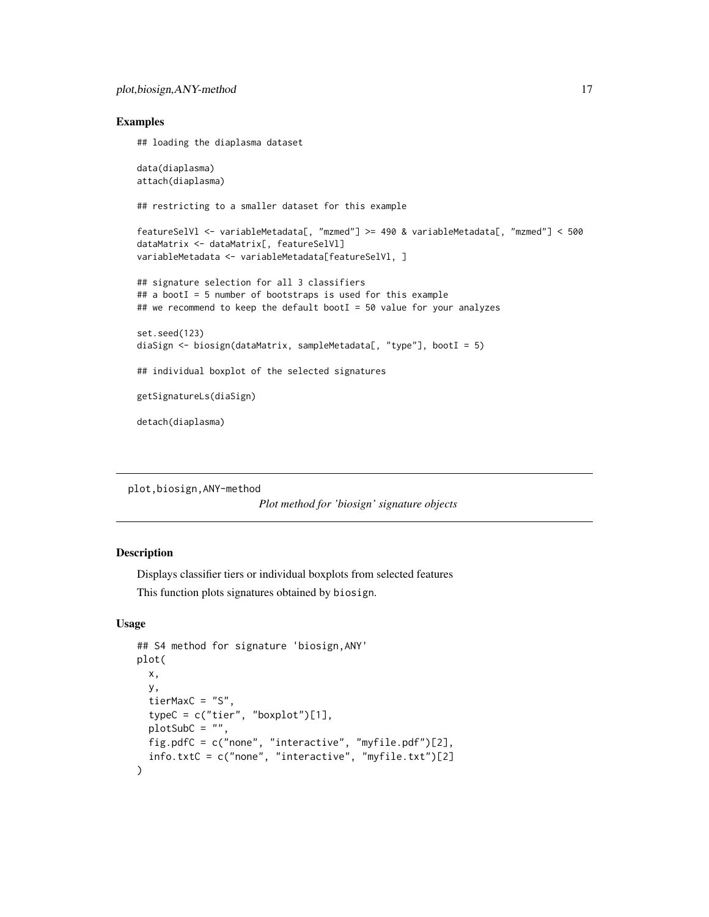#### <span id="page-16-0"></span>Examples

## loading the diaplasma dataset data(diaplasma) attach(diaplasma) ## restricting to a smaller dataset for this example featureSelVl <- variableMetadata[, "mzmed"] >= 490 & variableMetadata[, "mzmed"] < 500 dataMatrix <- dataMatrix[, featureSelVl] variableMetadata <- variableMetadata[featureSelVl, ] ## signature selection for all 3 classifiers ## a bootI = 5 number of bootstraps is used for this example ## we recommend to keep the default bootI = 50 value for your analyzes set.seed(123) diaSign <- biosign(dataMatrix, sampleMetadata[, "type"], bootI = 5) ## individual boxplot of the selected signatures getSignatureLs(diaSign) detach(diaplasma)

```
plot,biosign,ANY-method
```

```
Plot method for 'biosign' signature objects
```
# <span id="page-16-1"></span>Description

Displays classifier tiers or individual boxplots from selected features This function plots signatures obtained by biosign.

# Usage

```
## S4 method for signature 'biosign,ANY'
plot(
  x,
  y,
  tierMaxC = "S",
  typeC = c("tier", "boxplot")[1],plotSubC = "",
  fig.pdfC = c("none", "interactive", "myfile.pdf")[2],
  info.txtC = c("none", "interactive", "myfile.txt")[2]
)
```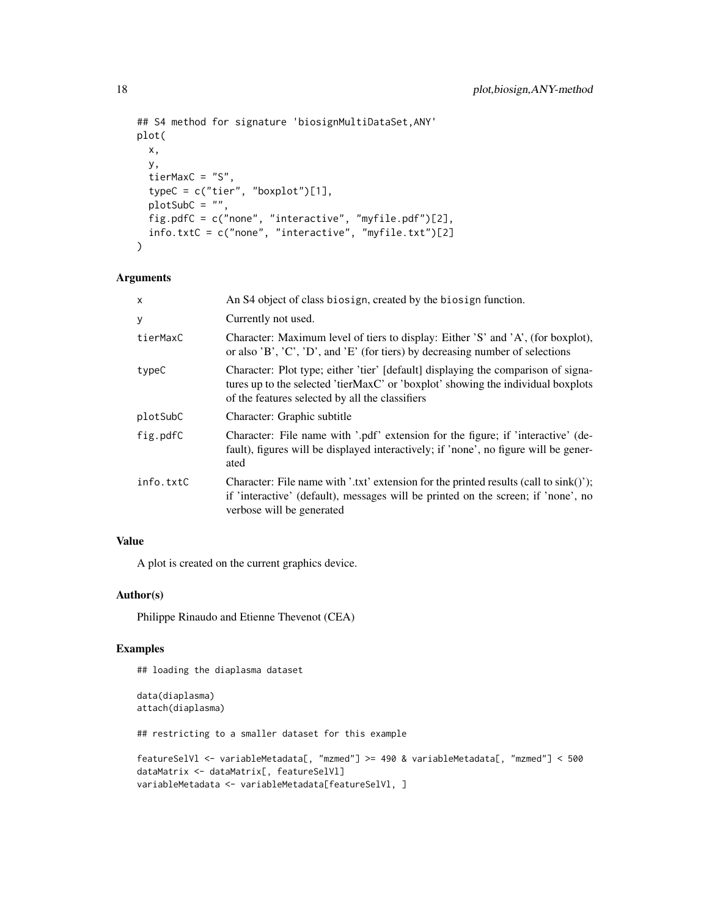```
## S4 method for signature 'biosignMultiDataSet,ANY'
plot(
  x,
  y,
  tierMaxC = "S",
  typeC = c("tier", "boxplot")[1],
 plotsubC = "",fig.pdfC = c("none", "interactive", "myfile.pdf")[2],
  info.txtC = c("none", "interactive", "myfile.txt")[2]
\mathcal{L}
```
# Arguments

| $\mathsf{x}$ | An S4 object of class biosign, created by the biosign function.                                                                                                                                                          |
|--------------|--------------------------------------------------------------------------------------------------------------------------------------------------------------------------------------------------------------------------|
| У            | Currently not used.                                                                                                                                                                                                      |
| tierMaxC     | Character: Maximum level of tiers to display: Either 'S' and 'A', (for boxplot),<br>or also $B', C', D', and E'$ (for tiers) by decreasing number of selections                                                          |
| typeC        | Character: Plot type; either 'tier' [default] displaying the comparison of signa-<br>tures up to the selected 'tierMaxC' or 'boxplot' showing the individual boxplots<br>of the features selected by all the classifiers |
| plotSubC     | Character: Graphic subtitle                                                                                                                                                                                              |
| fig.pdfC     | Character: File name with '.pdf' extension for the figure; if 'interactive' (de-<br>fault), figures will be displayed interactively; if 'none', no figure will be gener-<br>ated                                         |
| info.txtC    | Character: File name with '.txt' extension for the printed results (call to $\sin(k)$ ');<br>if 'interactive' (default), messages will be printed on the screen; if 'none', no<br>verbose will be generated              |

# Value

A plot is created on the current graphics device.

# Author(s)

Philippe Rinaudo and Etienne Thevenot (CEA)

# Examples

## loading the diaplasma dataset

```
data(diaplasma)
attach(diaplasma)
## restricting to a smaller dataset for this example
featureSelVl <- variableMetadata[, "mzmed"] >= 490 & variableMetadata[, "mzmed"] < 500
dataMatrix <- dataMatrix[, featureSelVl]
variableMetadata <- variableMetadata[featureSelVl, ]
```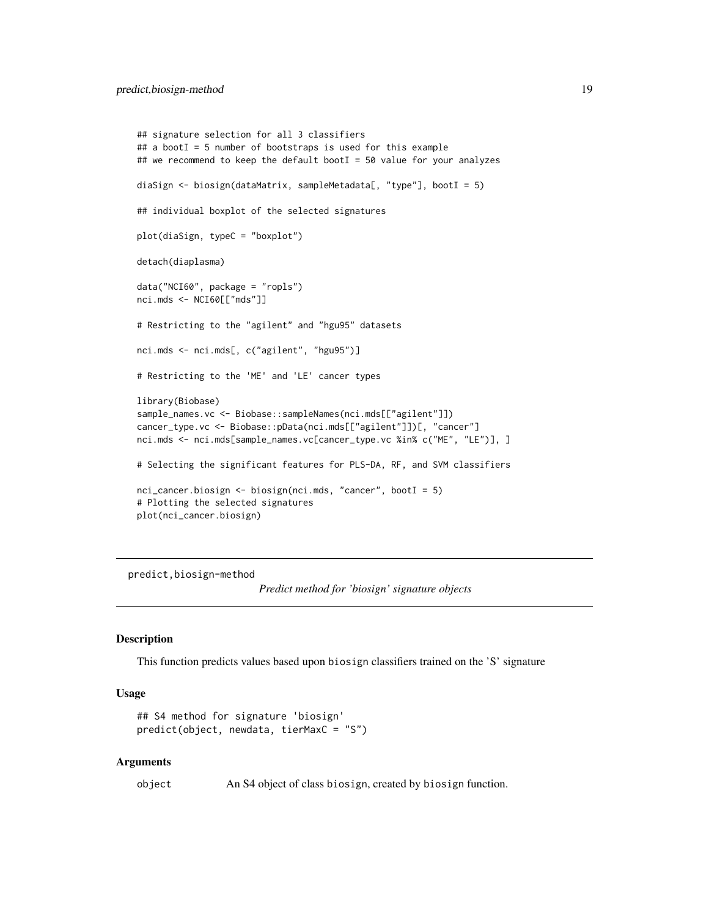```
## signature selection for all 3 classifiers
## a bootI = 5 number of bootstraps is used for this example
## we recommend to keep the default bootI = 50 value for your analyzes
diaSign <- biosign(dataMatrix, sampleMetadata[, "type"], bootI = 5)
## individual boxplot of the selected signatures
plot(diaSign, typeC = "boxplot")
detach(diaplasma)
data("NCI60", package = "ropls")
nci.mds <- NCI60[["mds"]]
# Restricting to the "agilent" and "hgu95" datasets
nci.mds <- nci.mds[, c("agilent", "hgu95")]
# Restricting to the 'ME' and 'LE' cancer types
library(Biobase)
sample_names.vc <- Biobase::sampleNames(nci.mds[["agilent"]])
cancer_type.vc <- Biobase::pData(nci.mds[["agilent"]])[, "cancer"]
nci.mds <- nci.mds[sample_names.vc[cancer_type.vc %in% c("ME", "LE")], ]
# Selecting the significant features for PLS-DA, RF, and SVM classifiers
nci_cancer.biosign <- biosign(nci.mds, "cancer", bootI = 5)
# Plotting the selected signatures
plot(nci_cancer.biosign)
```
predict,biosign-method

*Predict method for 'biosign' signature objects*

#### <span id="page-18-1"></span>Description

This function predicts values based upon biosign classifiers trained on the 'S' signature

#### Usage

```
## S4 method for signature 'biosign'
predict(object, newdata, tierMaxC = "S")
```
#### Arguments

object An S4 object of class biosign, created by biosign function.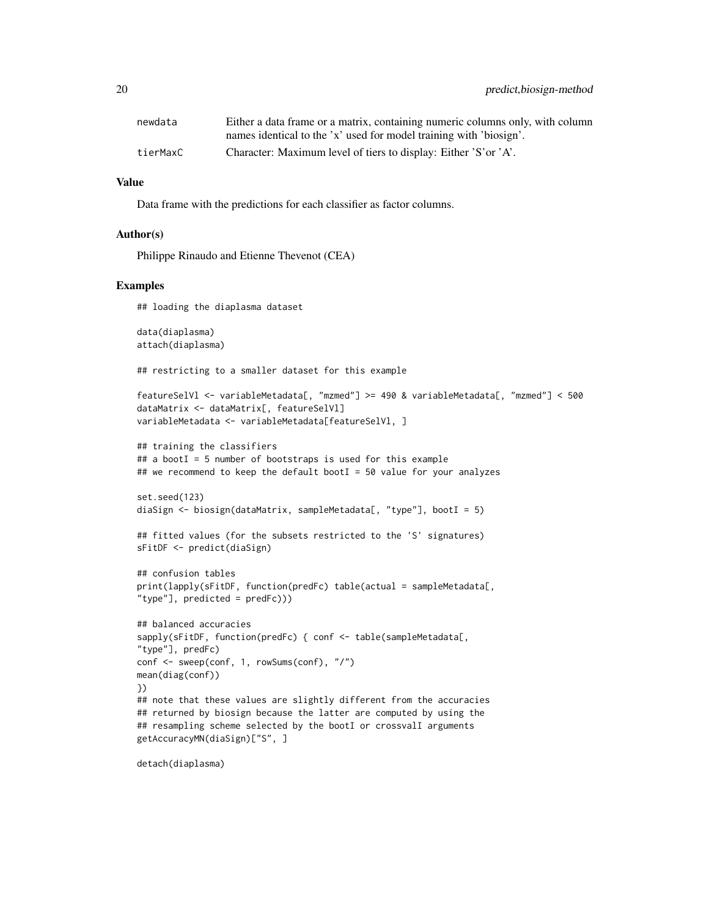| newdata  | Either a data frame or a matrix, containing numeric columns only, with column |
|----------|-------------------------------------------------------------------------------|
|          | names identical to the 'x' used for model training with 'biosign'.            |
| tierMaxC | Character: Maximum level of tiers to display: Either 'S' or 'A'.              |

#### Value

Data frame with the predictions for each classifier as factor columns.

#### Author(s)

Philippe Rinaudo and Etienne Thevenot (CEA)

#### Examples

## loading the diaplasma dataset

data(diaplasma) attach(diaplasma)

## restricting to a smaller dataset for this example

```
featureSelVl <- variableMetadata[, "mzmed"] >= 490 & variableMetadata[, "mzmed"] < 500
dataMatrix <- dataMatrix[, featureSelVl]
variableMetadata <- variableMetadata[featureSelVl, ]
```
## training the classifiers ## a bootI = 5 number of bootstraps is used for this example ## we recommend to keep the default bootI = 50 value for your analyzes

```
set.seed(123)
diaSign <- biosign(dataMatrix, sampleMetadata[, "type"], bootI = 5)
```

```
## fitted values (for the subsets restricted to the 'S' signatures)
sFitDF <- predict(diaSign)
```

```
## confusion tables
print(lapply(sFitDF, function(predFc) table(actual = sampleMetadata[,
"type"], predicted = predFc)))
```

```
## balanced accuracies
sapply(sFitDF, function(predFc) {        conf <- table(sampleMetadata[,
"type"], predFc)
conf <- sweep(conf, 1, rowSums(conf), "/")
mean(diag(conf))
})
## note that these values are slightly different from the accuracies
## returned by biosign because the latter are computed by using the
```

```
## resampling scheme selected by the bootI or crossvalI arguments
getAccuracyMN(diaSign)["S", ]
```

```
detach(diaplasma)
```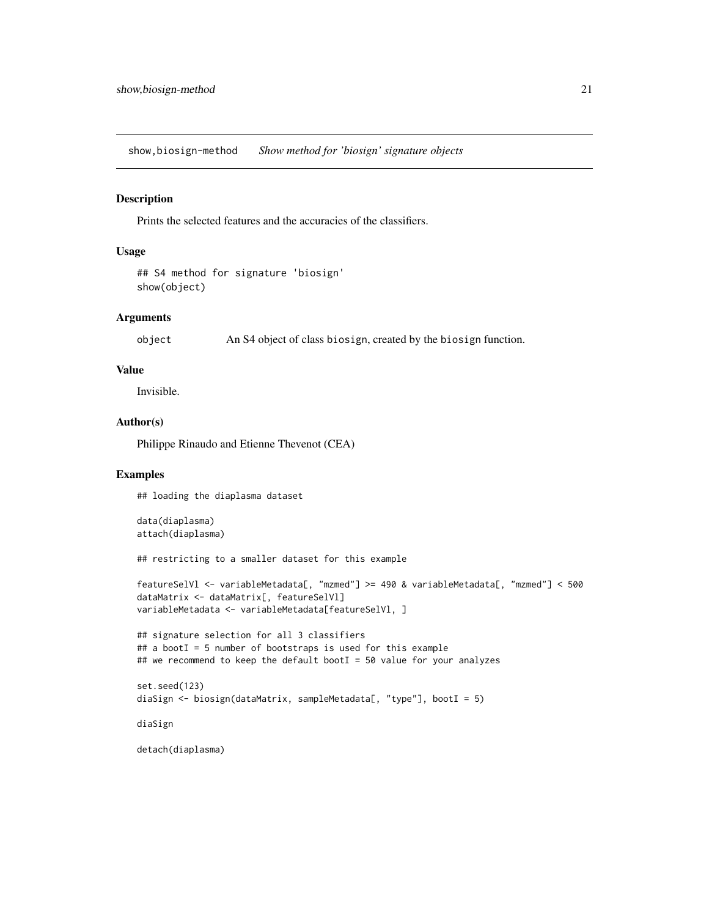<span id="page-20-0"></span>show,biosign-method *Show method for 'biosign' signature objects*

# Description

Prints the selected features and the accuracies of the classifiers.

# Usage

```
## S4 method for signature 'biosign'
show(object)
```
# Arguments

object An S4 object of class biosign, created by the biosign function.

#### Value

Invisible.

# Author(s)

Philippe Rinaudo and Etienne Thevenot (CEA)

#### Examples

## loading the diaplasma dataset

data(diaplasma) attach(diaplasma)

## restricting to a smaller dataset for this example

```
featureSelVl <- variableMetadata[, "mzmed"] >= 490 & variableMetadata[, "mzmed"] < 500
dataMatrix <- dataMatrix[, featureSelVl]
variableMetadata <- variableMetadata[featureSelVl, ]
```

```
## signature selection for all 3 classifiers
## a bootI = 5 number of bootstraps is used for this example
## we recommend to keep the default bootI = 50 value for your analyzes
```

```
set.seed(123)
diaSign <- biosign(dataMatrix, sampleMetadata[, "type"], bootI = 5)
```
diaSign

detach(diaplasma)